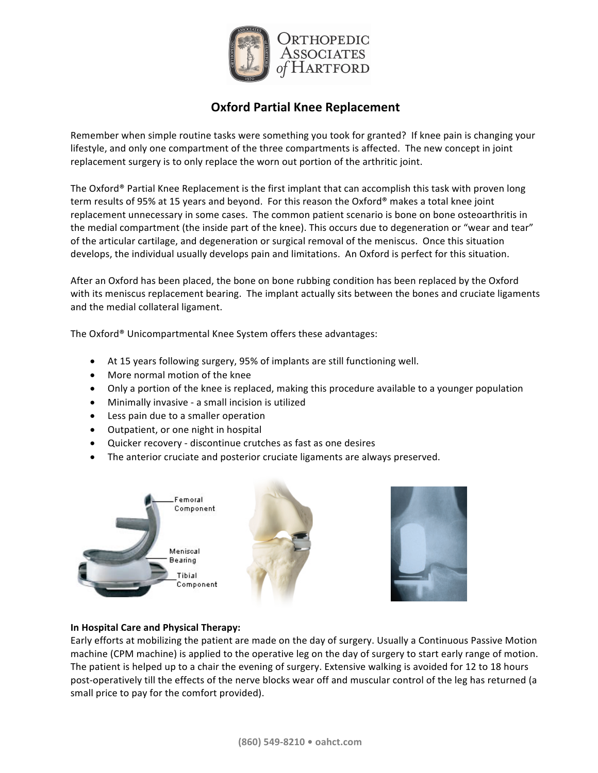

# **Oxford Partial Knee Replacement**

Remember when simple routine tasks were something you took for granted? If knee pain is changing your lifestyle, and only one compartment of the three compartments is affected. The new concept in joint replacement surgery is to only replace the worn out portion of the arthritic joint.

The Oxford® Partial Knee Replacement is the first implant that can accomplish this task with proven long term results of 95% at 15 years and beyond. For this reason the Oxford® makes a total knee joint replacement unnecessary in some cases. The common patient scenario is bone on bone osteoarthritis in the medial compartment (the inside part of the knee). This occurs due to degeneration or "wear and tear" of the articular cartilage, and degeneration or surgical removal of the meniscus. Once this situation develops, the individual usually develops pain and limitations. An Oxford is perfect for this situation.

After an Oxford has been placed, the bone on bone rubbing condition has been replaced by the Oxford with its meniscus replacement bearing. The implant actually sits between the bones and cruciate ligaments and the medial collateral ligament.

The Oxford<sup>®</sup> Unicompartmental Knee System offers these advantages:

- At 15 years following surgery, 95% of implants are still functioning well.
- More normal motion of the knee
- Only a portion of the knee is replaced, making this procedure available to a younger population
- Minimally invasive a small incision is utilized
- Less pain due to a smaller operation
- Outpatient, or one night in hospital
- Quicker recovery discontinue crutches as fast as one desires
- The anterior cruciate and posterior cruciate ligaments are always preserved.



### **In Hospital Care and Physical Therapy:**

Early efforts at mobilizing the patient are made on the day of surgery. Usually a Continuous Passive Motion machine (CPM machine) is applied to the operative leg on the day of surgery to start early range of motion. The patient is helped up to a chair the evening of surgery. Extensive walking is avoided for 12 to 18 hours post-operatively till the effects of the nerve blocks wear off and muscular control of the leg has returned (a small price to pay for the comfort provided).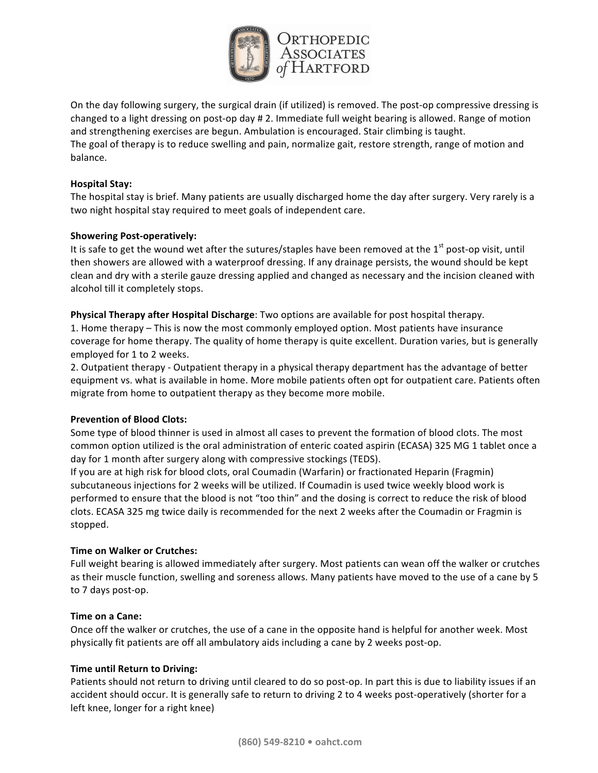

On the day following surgery, the surgical drain (if utilized) is removed. The post-op compressive dressing is changed to a light dressing on post-op day # 2. Immediate full weight bearing is allowed. Range of motion and strengthening exercises are begun. Ambulation is encouraged. Stair climbing is taught. The goal of therapy is to reduce swelling and pain, normalize gait, restore strength, range of motion and balance.

### **Hospital Stay:**

The hospital stay is brief. Many patients are usually discharged home the day after surgery. Very rarely is a two night hospital stay required to meet goals of independent care.

## **Showering Post-operatively:**

It is safe to get the wound wet after the sutures/staples have been removed at the  $1<sup>st</sup>$  post-op visit, until then showers are allowed with a waterproof dressing. If any drainage persists, the wound should be kept clean and dry with a sterile gauze dressing applied and changed as necessary and the incision cleaned with alcohol till it completely stops.

### **Physical Therapy after Hospital Discharge**: Two options are available for post hospital therapy.

1. Home therapy – This is now the most commonly employed option. Most patients have insurance coverage for home therapy. The quality of home therapy is quite excellent. Duration varies, but is generally employed for 1 to 2 weeks.

2. Outpatient therapy - Outpatient therapy in a physical therapy department has the advantage of better equipment vs. what is available in home. More mobile patients often opt for outpatient care. Patients often migrate from home to outpatient therapy as they become more mobile.

### **Prevention of Blood Clots:**

Some type of blood thinner is used in almost all cases to prevent the formation of blood clots. The most common option utilized is the oral administration of enteric coated aspirin (ECASA) 325 MG 1 tablet once a day for 1 month after surgery along with compressive stockings (TEDS).

If you are at high risk for blood clots, oral Coumadin (Warfarin) or fractionated Heparin (Fragmin) subcutaneous injections for 2 weeks will be utilized. If Coumadin is used twice weekly blood work is performed to ensure that the blood is not "too thin" and the dosing is correct to reduce the risk of blood clots. ECASA 325 mg twice daily is recommended for the next 2 weeks after the Coumadin or Fragmin is stopped.

### **Time on Walker or Crutches:**

Full weight bearing is allowed immediately after surgery. Most patients can wean off the walker or crutches as their muscle function, swelling and soreness allows. Many patients have moved to the use of a cane by 5 to 7 days post-op.

### **Time on a Cane:**

Once off the walker or crutches, the use of a cane in the opposite hand is helpful for another week. Most physically fit patients are off all ambulatory aids including a cane by 2 weeks post-op.

### **Time until Return to Driving:**

Patients should not return to driving until cleared to do so post-op. In part this is due to liability issues if an accident should occur. It is generally safe to return to driving 2 to 4 weeks post-operatively (shorter for a left knee, longer for a right knee)